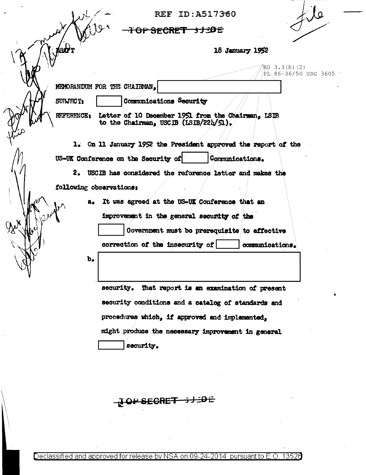REF ID: A517360

OP SECRET 3J3DE

 $\overline{P}$   $\overline{L}$  86-36/50 USC 3605

LO 3.3(h)(2)

18 January 1952

MEMORANDUM FOR THE CHAIRMAN.

SUBJECT:

**ABAR** 

Communications Security

Letter of 10 December 1951 from the Chairman, LSIB **REFERENCE:** to the Chairman, USCIB (ISIB/221/51).

1. On 11 January 1952 the President approved the report of the US-UK Conference on the Security of Communications.

2. USCIB has considered the reference letter and makes the following observations:

> It was agreed at the US-UK Conference that an  $a<sub>o</sub>$ improvement in the general security of the Government must be prerequisite to effective correction of the insecurity of communications.

 $\mathbf{b}_{\bullet}$ 

security. That report is an examination of present security conditions and a catalog of standards and procedures which, if approved and implemented. might produce the necessary improvement in general security.

<del>}J\_DE</del> **Y SECRET**